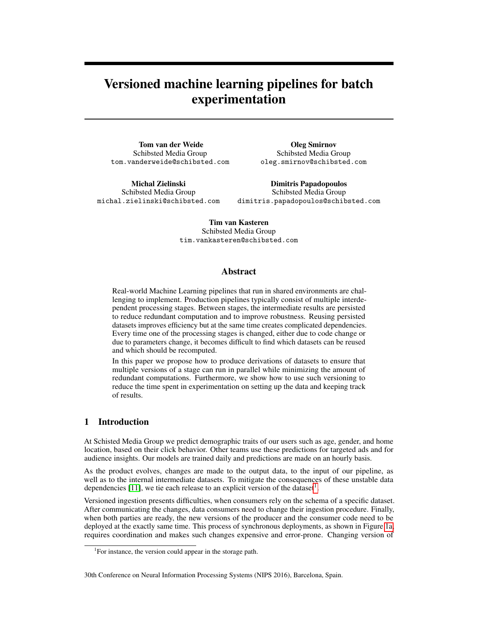# Versioned machine learning pipelines for batch experimentation

Tom van der Weide Schibsted Media Group tom.vanderweide@schibsted.com

Oleg Smirnov Schibsted Media Group oleg.smirnov@schibsted.com

Michal Zielinski Schibsted Media Group michal.zielinski@schibsted.com

Dimitris Papadopoulos Schibsted Media Group dimitris.papadopoulos@schibsted.com

Tim van Kasteren Schibsted Media Group tim.vankasteren@schibsted.com

## Abstract

Real-world Machine Learning pipelines that run in shared environments are challenging to implement. Production pipelines typically consist of multiple interdependent processing stages. Between stages, the intermediate results are persisted to reduce redundant computation and to improve robustness. Reusing persisted datasets improves efficiency but at the same time creates complicated dependencies. Every time one of the processing stages is changed, either due to code change or due to parameters change, it becomes difficult to find which datasets can be reused and which should be recomputed.

In this paper we propose how to produce derivations of datasets to ensure that multiple versions of a stage can run in parallel while minimizing the amount of redundant computations. Furthermore, we show how to use such versioning to reduce the time spent in experimentation on setting up the data and keeping track of results.

## 1 Introduction

At Schisted Media Group we predict demographic traits of our users such as age, gender, and home location, based on their click behavior. Other teams use these predictions for targeted ads and for audience insights. Our models are trained daily and predictions are made on an hourly basis.

As the product evolves, changes are made to the output data, to the input of our pipeline, as well as to the internal intermediate datasets. To mitigate the consequences of these unstable data dependencies [\[11\]](#page-6-0), we tie each release to an explicit version of the dataset<sup>[1](#page-0-0)</sup>.

Versioned ingestion presents difficulties, when consumers rely on the schema of a specific dataset. After communicating the changes, data consumers need to change their ingestion procedure. Finally, when both parties are ready, the new versions of the producer and the consumer code need to be deployed at the exactly same time. This process of synchronous deployments, as shown in Figure [1a,](#page-1-0) requires coordination and makes such changes expensive and error-prone. Changing version of

#### 30th Conference on Neural Information Processing Systems (NIPS 2016), Barcelona, Spain.

<span id="page-0-0"></span><sup>&</sup>lt;sup>1</sup>For instance, the version could appear in the storage path.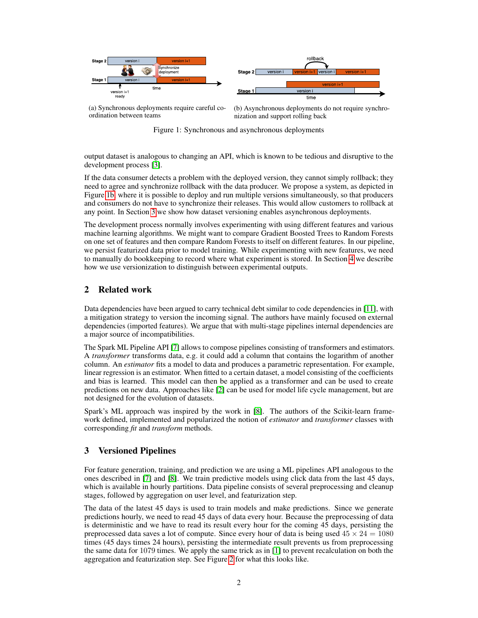<span id="page-1-0"></span>

ersion i time

rollback

(a) Synchronous deployments require careful coordination between teams

(b) Asynchronous deployments do not require synchronization and support rolling back

Figure 1: Synchronous and asynchronous deployments

output dataset is analogous to changing an API, which is known to be tedious and disruptive to the development process [\[3\]](#page-6-1).

If the data consumer detects a problem with the deployed version, they cannot simply rollback; they need to agree and synchronize rollback with the data producer. We propose a system, as depicted in Figure [1b,](#page-1-0) where it is possible to deploy and run multiple versions simultaneously, so that producers and consumers do not have to synchronize their releases. This would allow customers to rollback at any point. In Section [3](#page-1-1) we show how dataset versioning enables asynchronous deployments.

The development process normally involves experimenting with using different features and various machine learning algorithms. We might want to compare Gradient Boosted Trees to Random Forests on one set of features and then compare Random Forests to itself on different features. In our pipeline, we persist featurized data prior to model training. While experimenting with new features, we need to manually do bookkeeping to record where what experiment is stored. In Section [4](#page-3-0) we describe how we use versionization to distinguish between experimental outputs.

# 2 Related work

Data dependencies have been argued to carry technical debt similar to code dependencies in [\[11\]](#page-6-0), with a mitigation strategy to version the incoming signal. The authors have mainly focused on external dependencies (imported features). We argue that with multi-stage pipelines internal dependencies are a major source of incompatibilities.

The Spark ML Pipeline API [\[7\]](#page-6-2) allows to compose pipelines consisting of transformers and estimators. A *transformer* transforms data, e.g. it could add a column that contains the logarithm of another column. An *estimator* fits a model to data and produces a parametric representation. For example, linear regression is an estimator. When fitted to a certain dataset, a model consisting of the coefficients and bias is learned. This model can then be applied as a transformer and can be used to create predictions on new data. Approaches like [\[2\]](#page-6-3) can be used for model life cycle management, but are not designed for the evolution of datasets.

Spark's ML approach was inspired by the work in [\[8\]](#page-6-4). The authors of the Scikit-learn framework defined, implemented and popularized the notion of *estimator* and *transformer* classes with corresponding *fit* and *transform* methods.

## <span id="page-1-1"></span>3 Versioned Pipelines

For feature generation, training, and prediction we are using a ML pipelines API analogous to the ones described in [\[7\]](#page-6-2) and [\[8\]](#page-6-4). We train predictive models using click data from the last 45 days, which is available in hourly partitions. Data pipeline consists of several preprocessing and cleanup stages, followed by aggregation on user level, and featurization step.

The data of the latest 45 days is used to train models and make predictions. Since we generate predictions hourly, we need to read 45 days of data every hour. Because the preprocessing of data is deterministic and we have to read its result every hour for the coming 45 days, persisting the preprocessed data saves a lot of compute. Since every hour of data is being used  $45 \times 24 = 1080$ times (45 days times 24 hours), persisting the intermediate result prevents us from preprocessing the same data for  $1079$  times. We apply the same trick as in [\[1\]](#page-5-0) to prevent recalculation on both the aggregation and featurization step. See Figure [2](#page-2-0) for what this looks like.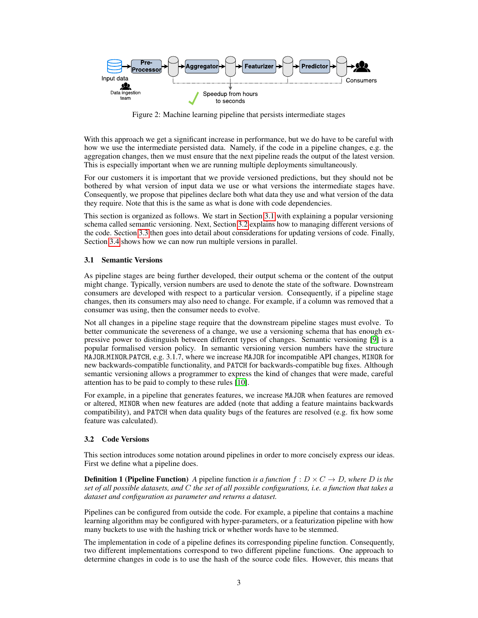<span id="page-2-0"></span>

Figure 2: Machine learning pipeline that persists intermediate stages

With this approach we get a significant increase in performance, but we do have to be careful with how we use the intermediate persisted data. Namely, if the code in a pipeline changes, e.g. the aggregation changes, then we must ensure that the next pipeline reads the output of the latest version. This is especially important when we are running multiple deployments simultaneously.

For our customers it is important that we provide versioned predictions, but they should not be bothered by what version of input data we use or what versions the intermediate stages have. Consequently, we propose that pipelines declare both what data they use and what version of the data they require. Note that this is the same as what is done with code dependencies.

This section is organized as follows. We start in Section [3.1](#page-2-1) with explaining a popular versioning schema called semantic versioning. Next, Section [3.2](#page-2-2) explains how to managing different versions of the code. Section [3.3](#page-3-1) then goes into detail about considerations for updating versions of code. Finally, Section [3.4](#page-3-2) shows how we can now run multiple versions in parallel.

#### <span id="page-2-1"></span>3.1 Semantic Versions

As pipeline stages are being further developed, their output schema or the content of the output might change. Typically, version numbers are used to denote the state of the software. Downstream consumers are developed with respect to a particular version. Consequently, if a pipeline stage changes, then its consumers may also need to change. For example, if a column was removed that a consumer was using, then the consumer needs to evolve.

Not all changes in a pipeline stage require that the downstream pipeline stages must evolve. To better communicate the severeness of a change, we use a versioning schema that has enough expressive power to distinguish between different types of changes. Semantic versioning [\[9\]](#page-6-5) is a popular formalised version policy. In semantic versioning version numbers have the structure MAJOR.MINOR.PATCH, e.g. 3.1.7, where we increase MAJOR for incompatible API changes, MINOR for new backwards-compatible functionality, and PATCH for backwards-compatible bug fixes. Although semantic versioning allows a programmer to express the kind of changes that were made, careful attention has to be paid to comply to these rules [\[10\]](#page-6-6).

For example, in a pipeline that generates features, we increase MAJOR when features are removed or altered, MINOR when new features are added (note that adding a feature maintains backwards compatibility), and PATCH when data quality bugs of the features are resolved (e.g. fix how some feature was calculated).

#### <span id="page-2-2"></span>3.2 Code Versions

This section introduces some notation around pipelines in order to more concisely express our ideas. First we define what a pipeline does.

**Definition 1 (Pipeline Function)** A pipeline function *is a function*  $f: D \times C \rightarrow D$ , where D is the *set of all possible datasets, and* C *the set of all possible configurations, i.e. a function that takes a dataset and configuration as parameter and returns a dataset.*

Pipelines can be configured from outside the code. For example, a pipeline that contains a machine learning algorithm may be configured with hyper-parameters, or a featurization pipeline with how many buckets to use with the hashing trick or whether words have to be stemmed.

The implementation in code of a pipeline defines its corresponding pipeline function. Consequently, two different implementations correspond to two different pipeline functions. One approach to determine changes in code is to use the hash of the source code files. However, this means that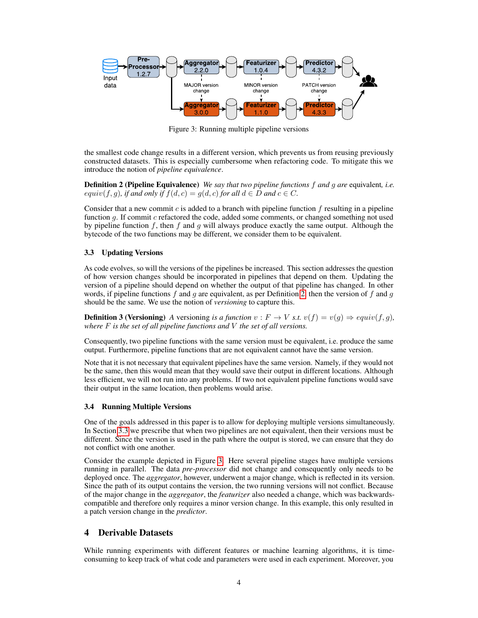<span id="page-3-4"></span>

Figure 3: Running multiple pipeline versions

the smallest code change results in a different version, which prevents us from reusing previously constructed datasets. This is especially cumbersome when refactoring code. To mitigate this we introduce the notion of *pipeline equivalence*.

<span id="page-3-3"></span>Definition 2 (Pipeline Equivalence) *We say that two pipeline functions* f *and* g *are* equivalent*, i.e.*  $equiv(f, g)$ *, if and only if*  $f(d, c) = g(d, c)$  *for all*  $d \in D$  *and*  $c \in C$ *.* 

Consider that a new commit c is added to a branch with pipeline function  $f$  resulting in a pipeline function g. If commit c refactored the code, added some comments, or changed something not used by pipeline function  $f$ , then  $f$  and  $g$  will always produce exactly the same output. Although the bytecode of the two functions may be different, we consider them to be equivalent.

### <span id="page-3-1"></span>3.3 Updating Versions

As code evolves, so will the versions of the pipelines be increased. This section addresses the question of how version changes should be incorporated in pipelines that depend on them. Updating the version of a pipeline should depend on whether the output of that pipeline has changed. In other words, if pipeline functions f and g are equivalent, as per Definition [2,](#page-3-3) then the version of f and g should be the same. We use the notion of *versioning* to capture this.

**Definition 3 (Versioning)** A versioning is a function  $v : F \to V$  *s.t.*  $v(f) = v(g) \Rightarrow equiv(f, g)$ , *where* F *is the set of all pipeline functions and* V *the set of all versions.*

Consequently, two pipeline functions with the same version must be equivalent, i.e. produce the same output. Furthermore, pipeline functions that are not equivalent cannot have the same version.

Note that it is not necessary that equivalent pipelines have the same version. Namely, if they would not be the same, then this would mean that they would save their output in different locations. Although less efficient, we will not run into any problems. If two not equivalent pipeline functions would save their output in the same location, then problems would arise.

### <span id="page-3-2"></span>3.4 Running Multiple Versions

One of the goals addressed in this paper is to allow for deploying multiple versions simultaneously. In Section [3.3](#page-3-1) we prescribe that when two pipelines are not equivalent, then their versions must be different. Since the version is used in the path where the output is stored, we can ensure that they do not conflict with one another.

Consider the example depicted in Figure [3.](#page-3-4) Here several pipeline stages have multiple versions running in parallel. The data *pre-processor* did not change and consequently only needs to be deployed once. The *aggregator*, however, underwent a major change, which is reflected in its version. Since the path of its output contains the version, the two running versions will not conflict. Because of the major change in the *aggregator*, the *featurizer* also needed a change, which was backwardscompatible and therefore only requires a minor version change. In this example, this only resulted in a patch version change in the *predictor*.

## <span id="page-3-0"></span>4 Derivable Datasets

While running experiments with different features or machine learning algorithms, it is timeconsuming to keep track of what code and parameters were used in each experiment. Moreover, you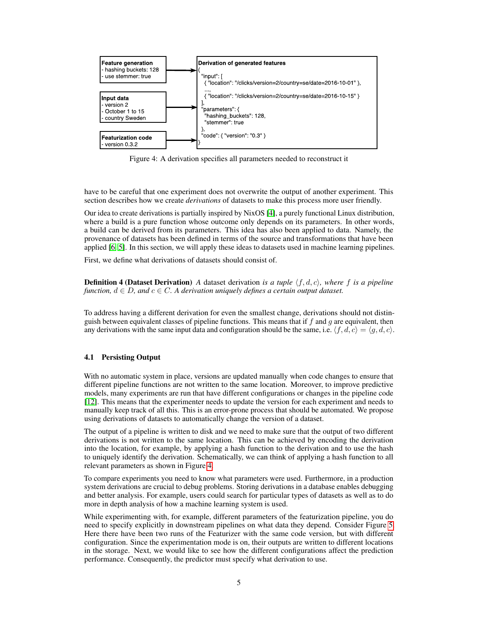<span id="page-4-0"></span>

Figure 4: A derivation specifies all parameters needed to reconstruct it

have to be careful that one experiment does not overwrite the output of another experiment. This section describes how we create *derivations* of datasets to make this process more user friendly.

Our idea to create derivations is partially inspired by NixOS [\[4\]](#page-6-7), a purely functional Linux distribution, where a build is a pure function whose outcome only depends on its parameters. In other words, a build can be derived from its parameters. This idea has also been applied to data. Namely, the provenance of datasets has been defined in terms of the source and transformations that have been applied [\[6,](#page-6-8) [5\]](#page-6-9). In this section, we will apply these ideas to datasets used in machine learning pipelines.

First, we define what derivations of datasets should consist of.

**Definition 4 (Dataset Derivation)** *A* dataset derivation *is a tuple*  $\langle f, d, c \rangle$ *, where* f *is a pipeline function,*  $d \in D$ *, and*  $c \in C$ *. A derivation uniquely defines a certain output dataset.* 

To address having a different derivation for even the smallest change, derivations should not distinguish between equivalent classes of pipeline functions. This means that if  $f$  and  $g$  are equivalent, then any derivations with the same input data and configuration should be the same, i.e.  $\langle f, d, c \rangle = \langle g, d, c \rangle$ .

### 4.1 Persisting Output

With no automatic system in place, versions are updated manually when code changes to ensure that different pipeline functions are not written to the same location. Moreover, to improve predictive models, many experiments are run that have different configurations or changes in the pipeline code [\[12\]](#page-6-10). This means that the experimenter needs to update the version for each experiment and needs to manually keep track of all this. This is an error-prone process that should be automated. We propose using derivations of datasets to automatically change the version of a dataset.

The output of a pipeline is written to disk and we need to make sure that the output of two different derivations is not written to the same location. This can be achieved by encoding the derivation into the location, for example, by applying a hash function to the derivation and to use the hash to uniquely identify the derivation. Schematically, we can think of applying a hash function to all relevant parameters as shown in Figure [4.](#page-4-0)

To compare experiments you need to know what parameters were used. Furthermore, in a production system derivations are crucial to debug problems. Storing derivations in a database enables debugging and better analysis. For example, users could search for particular types of datasets as well as to do more in depth analysis of how a machine learning system is used.

While experimenting with, for example, different parameters of the featurization pipeline, you do need to specify explicitly in downstream pipelines on what data they depend. Consider Figure [5.](#page-5-1) Here there have been two runs of the Featurizer with the same code version, but with different configuration. Since the experimentation mode is on, their outputs are written to different locations in the storage. Next, we would like to see how the different configurations affect the prediction performance. Consequently, the predictor must specify what derivation to use.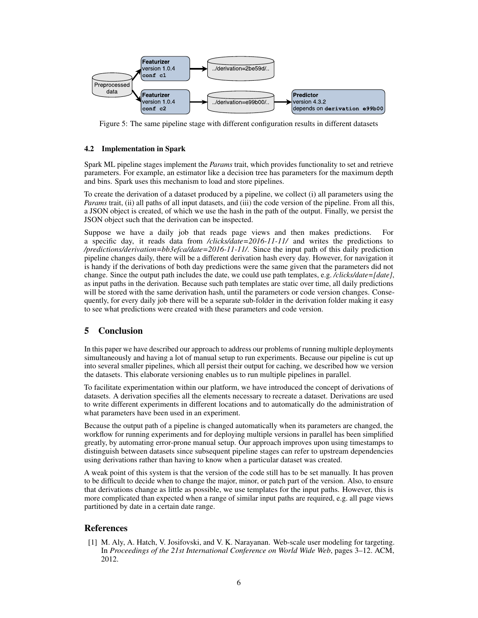<span id="page-5-1"></span>

Figure 5: The same pipeline stage with different configuration results in different datasets

## 4.2 Implementation in Spark

Spark ML pipeline stages implement the *Params* trait, which provides functionality to set and retrieve parameters. For example, an estimator like a decision tree has parameters for the maximum depth and bins. Spark uses this mechanism to load and store pipelines.

To create the derivation of a dataset produced by a pipeline, we collect (i) all parameters using the *Params* trait, (ii) all paths of all input datasets, and (iii) the code version of the pipeline. From all this, a JSON object is created, of which we use the hash in the path of the output. Finally, we persist the JSON object such that the derivation can be inspected.

Suppose we have a daily job that reads page views and then makes predictions. For a specific day, it reads data from */clicks/date=2016-11-11/* and writes the predictions to */predictions/derivation=bb3efca/date=2016-11-11/*. Since the input path of this daily prediction pipeline changes daily, there will be a different derivation hash every day. However, for navigation it is handy if the derivations of both day predictions were the same given that the parameters did not change. Since the output path includes the date, we could use path templates, e.g. */clicks/date=[date]*, as input paths in the derivation. Because such path templates are static over time, all daily predictions will be stored with the same derivation hash, until the parameters or code version changes. Consequently, for every daily job there will be a separate sub-folder in the derivation folder making it easy to see what predictions were created with these parameters and code version.

## 5 Conclusion

In this paper we have described our approach to address our problems of running multiple deployments simultaneously and having a lot of manual setup to run experiments. Because our pipeline is cut up into several smaller pipelines, which all persist their output for caching, we described how we version the datasets. This elaborate versioning enables us to run multiple pipelines in parallel.

To facilitate experimentation within our platform, we have introduced the concept of derivations of datasets. A derivation specifies all the elements necessary to recreate a dataset. Derivations are used to write different experiments in different locations and to automatically do the administration of what parameters have been used in an experiment.

Because the output path of a pipeline is changed automatically when its parameters are changed, the workflow for running experiments and for deploying multiple versions in parallel has been simplified greatly, by automating error-prone manual setup. Our approach improves upon using timestamps to distinguish between datasets since subsequent pipeline stages can refer to upstream dependencies using derivations rather than having to know when a particular dataset was created.

A weak point of this system is that the version of the code still has to be set manually. It has proven to be difficult to decide when to change the major, minor, or patch part of the version. Also, to ensure that derivations change as little as possible, we use templates for the input paths. However, this is more complicated than expected when a range of similar input paths are required, e.g. all page views partitioned by date in a certain date range.

## References

<span id="page-5-0"></span>[1] M. Aly, A. Hatch, V. Josifovski, and V. K. Narayanan. Web-scale user modeling for targeting. In *Proceedings of the 21st International Conference on World Wide Web*, pages 3–12. ACM, 2012.